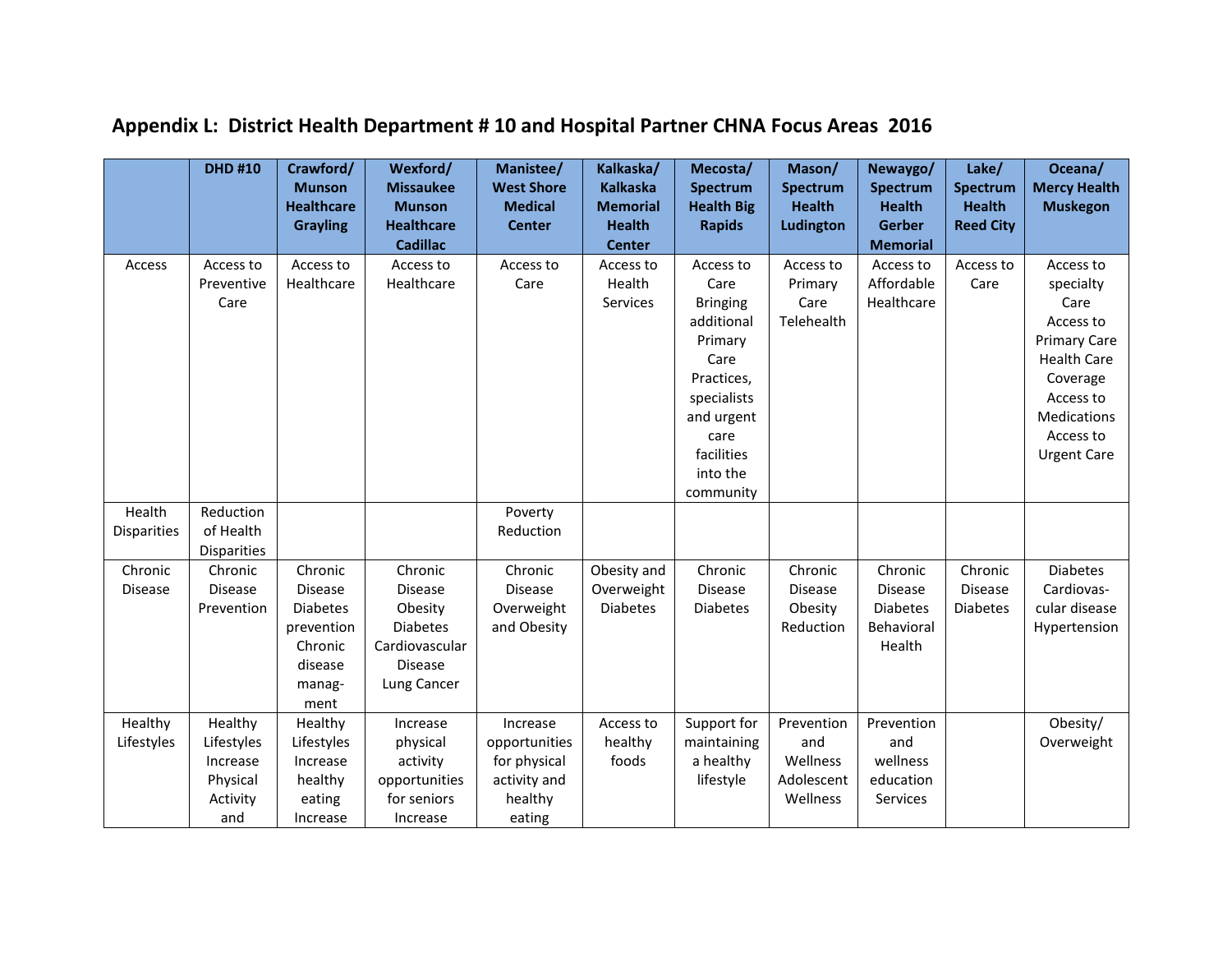| <b>Kalkaska</b><br><b>Munson</b><br><b>Missaukee</b><br><b>West Shore</b><br>Spectrum<br>Spectrum<br>Spectrum<br>Spectrum<br><b>Healthcare</b><br><b>Health</b><br><b>Munson</b><br><b>Medical</b><br><b>Memorial</b><br><b>Health Big</b><br><b>Health</b><br><b>Health</b><br><b>Healthcare</b><br><b>Health</b><br>Ludington<br><b>Gerber</b><br><b>Reed City</b><br><b>Center</b><br><b>Rapids</b><br><b>Grayling</b><br><b>Cadillac</b><br><b>Center</b><br><b>Memorial</b><br>Access to<br>Access<br>Access to<br>Access to<br>Access to<br>Access to<br>Access to<br>Access to<br>Access to<br>Access to | <b>Mercy Health</b><br><b>Muskegon</b><br>Access to |
|-----------------------------------------------------------------------------------------------------------------------------------------------------------------------------------------------------------------------------------------------------------------------------------------------------------------------------------------------------------------------------------------------------------------------------------------------------------------------------------------------------------------------------------------------------------------------------------------------------------------|-----------------------------------------------------|
|                                                                                                                                                                                                                                                                                                                                                                                                                                                                                                                                                                                                                 |                                                     |
|                                                                                                                                                                                                                                                                                                                                                                                                                                                                                                                                                                                                                 |                                                     |
|                                                                                                                                                                                                                                                                                                                                                                                                                                                                                                                                                                                                                 |                                                     |
|                                                                                                                                                                                                                                                                                                                                                                                                                                                                                                                                                                                                                 |                                                     |
| Health<br>Preventive<br>Healthcare<br>Healthcare<br>Care<br>Affordable<br>Care<br>Primary<br>Care                                                                                                                                                                                                                                                                                                                                                                                                                                                                                                               | specialty                                           |
| Healthcare<br>Care<br>Services<br><b>Bringing</b><br>Care                                                                                                                                                                                                                                                                                                                                                                                                                                                                                                                                                       | Care                                                |
| Telehealth<br>additional                                                                                                                                                                                                                                                                                                                                                                                                                                                                                                                                                                                        | Access to                                           |
| Primary                                                                                                                                                                                                                                                                                                                                                                                                                                                                                                                                                                                                         | <b>Primary Care</b>                                 |
| Care<br>Practices,                                                                                                                                                                                                                                                                                                                                                                                                                                                                                                                                                                                              | <b>Health Care</b>                                  |
| specialists                                                                                                                                                                                                                                                                                                                                                                                                                                                                                                                                                                                                     | Coverage<br>Access to                               |
| and urgent                                                                                                                                                                                                                                                                                                                                                                                                                                                                                                                                                                                                      | Medications                                         |
| care                                                                                                                                                                                                                                                                                                                                                                                                                                                                                                                                                                                                            | Access to                                           |
| facilities                                                                                                                                                                                                                                                                                                                                                                                                                                                                                                                                                                                                      | <b>Urgent Care</b>                                  |
| into the                                                                                                                                                                                                                                                                                                                                                                                                                                                                                                                                                                                                        |                                                     |
| community                                                                                                                                                                                                                                                                                                                                                                                                                                                                                                                                                                                                       |                                                     |
| Health<br>Reduction<br>Poverty                                                                                                                                                                                                                                                                                                                                                                                                                                                                                                                                                                                  |                                                     |
| <b>Disparities</b><br>of Health<br>Reduction                                                                                                                                                                                                                                                                                                                                                                                                                                                                                                                                                                    |                                                     |
| <b>Disparities</b>                                                                                                                                                                                                                                                                                                                                                                                                                                                                                                                                                                                              |                                                     |
| Chronic<br>Chronic<br>Chronic<br>Chronic<br>Chronic<br>Chronic<br>Chronic<br>Chronic<br>Chronic<br>Obesity and                                                                                                                                                                                                                                                                                                                                                                                                                                                                                                  | <b>Diabetes</b>                                     |
| <b>Disease</b><br><b>Disease</b><br>Overweight<br><b>Disease</b><br><b>Disease</b><br><b>Disease</b><br><b>Disease</b><br><b>Disease</b><br><b>Disease</b><br><b>Disease</b>                                                                                                                                                                                                                                                                                                                                                                                                                                    | Cardiovas-                                          |
| <b>Diabetes</b><br><b>Diabetes</b><br><b>Diabetes</b><br><b>Diabetes</b><br>Prevention<br>Obesity<br>Overweight<br>Obesity<br><b>Diabetes</b>                                                                                                                                                                                                                                                                                                                                                                                                                                                                   | cular disease                                       |
| <b>Diabetes</b><br>Behavioral<br>prevention<br>and Obesity<br>Reduction                                                                                                                                                                                                                                                                                                                                                                                                                                                                                                                                         | Hypertension                                        |
| Cardiovascular<br>Chronic<br>Health                                                                                                                                                                                                                                                                                                                                                                                                                                                                                                                                                                             |                                                     |
| <b>Disease</b><br>disease                                                                                                                                                                                                                                                                                                                                                                                                                                                                                                                                                                                       |                                                     |
| Lung Cancer<br>manag-                                                                                                                                                                                                                                                                                                                                                                                                                                                                                                                                                                                           |                                                     |
| ment<br>Prevention<br>Prevention                                                                                                                                                                                                                                                                                                                                                                                                                                                                                                                                                                                | Obesity/                                            |
| Healthy<br>Healthy<br>Healthy<br>Support for<br>Increase<br>Increase<br>Access to<br>Lifestyles<br>Lifestyles<br>Lifestyles<br>healthy<br>and<br>and<br>physical<br>opportunities<br>maintaining                                                                                                                                                                                                                                                                                                                                                                                                                | Overweight                                          |
| wellness<br>foods<br>a healthy<br>Wellness<br>for physical<br>Increase<br>Increase<br>activity                                                                                                                                                                                                                                                                                                                                                                                                                                                                                                                  |                                                     |
| education<br>Physical<br>healthy<br>opportunities<br>activity and<br>lifestyle<br>Adolescent                                                                                                                                                                                                                                                                                                                                                                                                                                                                                                                    |                                                     |
| Activity<br>for seniors<br>healthy<br>Wellness<br>Services<br>eating                                                                                                                                                                                                                                                                                                                                                                                                                                                                                                                                            |                                                     |
| and<br>eating<br>Increase<br>Increase                                                                                                                                                                                                                                                                                                                                                                                                                                                                                                                                                                           |                                                     |

## **Appendix L: District Health Department # 10 and Hospital Partner CHNA Focus Areas 2016**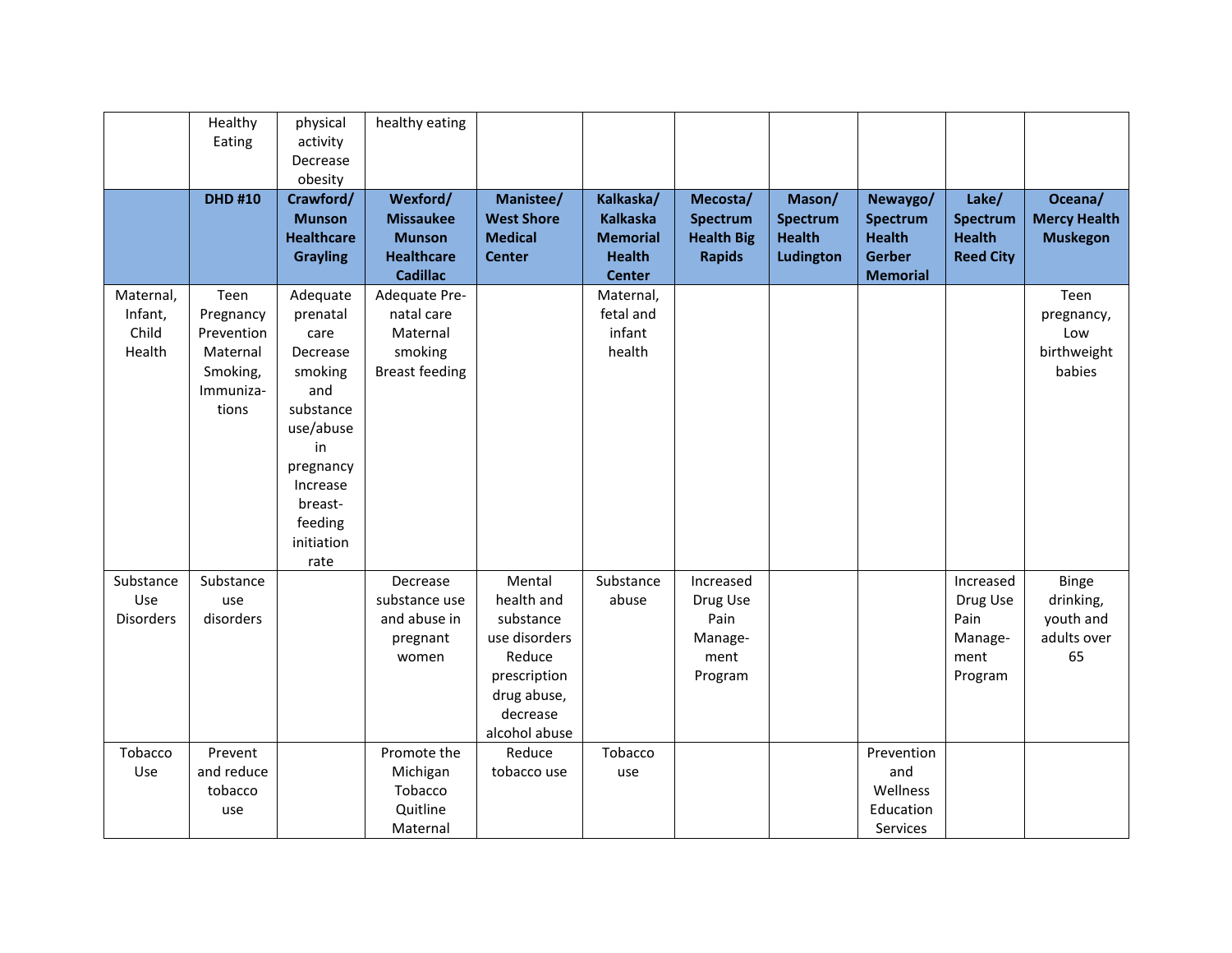|                  | Healthy       | physical          | healthy eating        |                   |                 |                   |                 |                 |                  |                     |
|------------------|---------------|-------------------|-----------------------|-------------------|-----------------|-------------------|-----------------|-----------------|------------------|---------------------|
|                  | Eating        | activity          |                       |                   |                 |                   |                 |                 |                  |                     |
|                  |               | Decrease          |                       |                   |                 |                   |                 |                 |                  |                     |
|                  |               | obesity           |                       |                   |                 |                   |                 |                 |                  |                     |
|                  | <b>DHD#10</b> | Crawford/         | Wexford/              | Manistee/         | Kalkaska/       | Mecosta/          | Mason/          | Newaygo/        | Lake/            | Oceana/             |
|                  |               | <b>Munson</b>     | <b>Missaukee</b>      | <b>West Shore</b> | <b>Kalkaska</b> | <b>Spectrum</b>   | <b>Spectrum</b> | <b>Spectrum</b> | <b>Spectrum</b>  | <b>Mercy Health</b> |
|                  |               | <b>Healthcare</b> | <b>Munson</b>         | <b>Medical</b>    | <b>Memorial</b> | <b>Health Big</b> | <b>Health</b>   | <b>Health</b>   | <b>Health</b>    | <b>Muskegon</b>     |
|                  |               | <b>Grayling</b>   | <b>Healthcare</b>     | <b>Center</b>     | <b>Health</b>   | <b>Rapids</b>     | Ludington       | <b>Gerber</b>   | <b>Reed City</b> |                     |
|                  |               |                   | <b>Cadillac</b>       |                   | <b>Center</b>   |                   |                 | <b>Memorial</b> |                  |                     |
| Maternal,        | Teen          | Adequate          | Adequate Pre-         |                   | Maternal,       |                   |                 |                 |                  | Teen                |
| Infant,          | Pregnancy     | prenatal          | natal care            |                   | fetal and       |                   |                 |                 |                  | pregnancy,          |
| Child            | Prevention    | care              | Maternal              |                   | infant          |                   |                 |                 |                  | Low                 |
| Health           | Maternal      | Decrease          | smoking               |                   | health          |                   |                 |                 |                  | birthweight         |
|                  | Smoking,      | smoking           | <b>Breast feeding</b> |                   |                 |                   |                 |                 |                  | babies              |
|                  | Immuniza-     | and               |                       |                   |                 |                   |                 |                 |                  |                     |
|                  | tions         | substance         |                       |                   |                 |                   |                 |                 |                  |                     |
|                  |               | use/abuse         |                       |                   |                 |                   |                 |                 |                  |                     |
|                  |               | in                |                       |                   |                 |                   |                 |                 |                  |                     |
|                  |               | pregnancy         |                       |                   |                 |                   |                 |                 |                  |                     |
|                  |               | Increase          |                       |                   |                 |                   |                 |                 |                  |                     |
|                  |               | breast-           |                       |                   |                 |                   |                 |                 |                  |                     |
|                  |               | feeding           |                       |                   |                 |                   |                 |                 |                  |                     |
|                  |               | initiation        |                       |                   |                 |                   |                 |                 |                  |                     |
| Substance        | Substance     | rate              | Decrease              | Mental            | Substance       | Increased         |                 |                 | Increased        | <b>Binge</b>        |
| Use              | use           |                   | substance use         | health and        | abuse           | Drug Use          |                 |                 | Drug Use         | drinking,           |
| <b>Disorders</b> | disorders     |                   | and abuse in          | substance         |                 | Pain              |                 |                 | Pain             | youth and           |
|                  |               |                   | pregnant              | use disorders     |                 | Manage-           |                 |                 | Manage-          | adults over         |
|                  |               |                   | women                 | Reduce            |                 | ment              |                 |                 | ment             | 65                  |
|                  |               |                   |                       | prescription      |                 | Program           |                 |                 | Program          |                     |
|                  |               |                   |                       | drug abuse,       |                 |                   |                 |                 |                  |                     |
|                  |               |                   |                       | decrease          |                 |                   |                 |                 |                  |                     |
|                  |               |                   |                       | alcohol abuse     |                 |                   |                 |                 |                  |                     |
| Tobacco          | Prevent       |                   | Promote the           | Reduce            | Tobacco         |                   |                 | Prevention      |                  |                     |
| Use              | and reduce    |                   | Michigan              | tobacco use       | use             |                   |                 | and             |                  |                     |
|                  | tobacco       |                   | Tobacco               |                   |                 |                   |                 | Wellness        |                  |                     |
|                  | use           |                   | Quitline              |                   |                 |                   |                 | Education       |                  |                     |
|                  |               |                   | Maternal              |                   |                 |                   |                 | Services        |                  |                     |